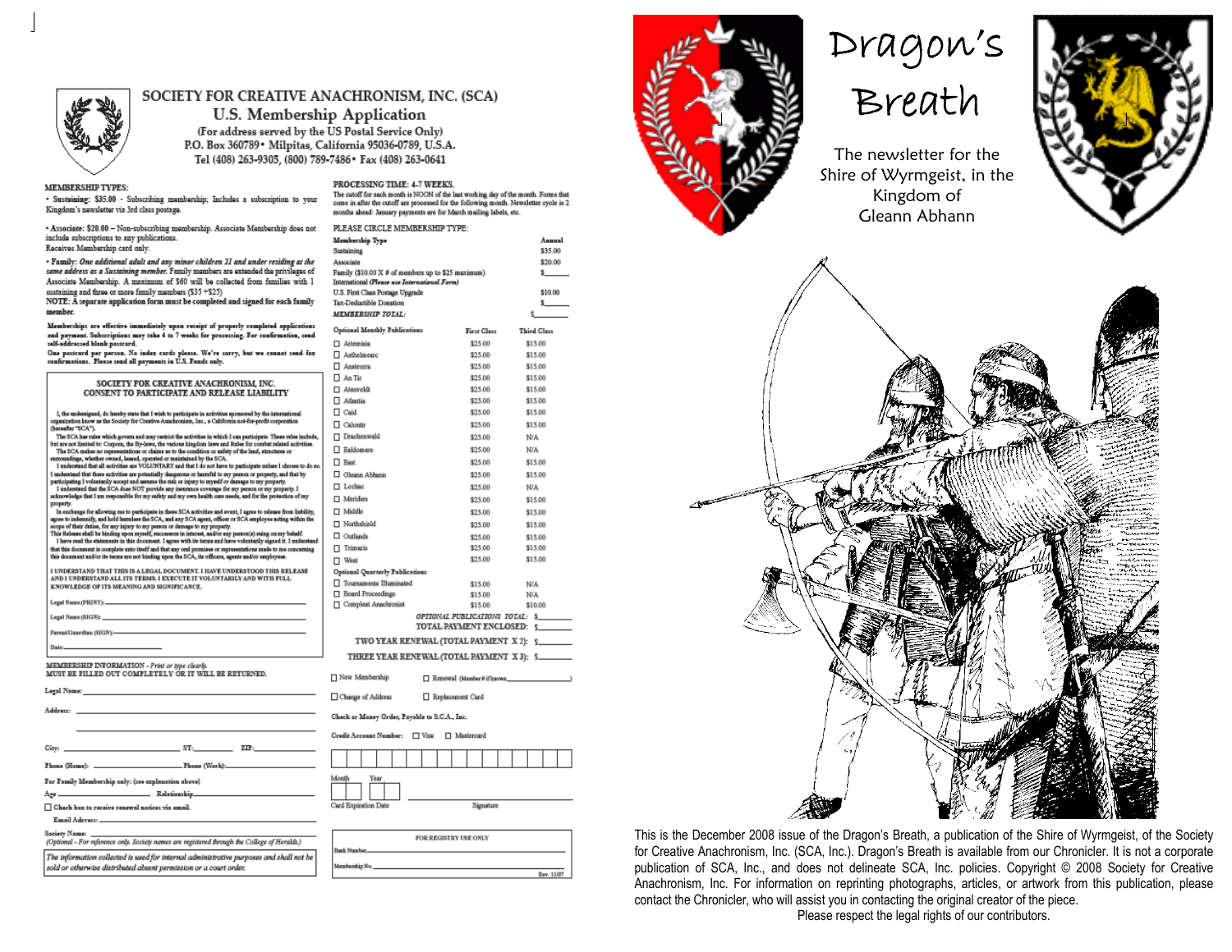

# SOCIETY FOR CREATIVE ANACHRONISM, INC. (SCA)

U.S. Membership Application (For address served by the US Postal Service Only) P.O. Box 360789 · Milpitas, California 95036-0789, U.S.A. Tel (408) 263-9305, (800) 789-7486 \* Fax (408) 263-0641

### **MEMBERSHIP TYPES:**

· Sustaining: \$35.00 - Subscribing mambarship; Includes a subscription to your Kingdom's newsletter via 3rd class postage.

- Associate: \$20.00 - Non-subscribing membership. Associate Membership does not include subscriptions to any publications. Receives Membership card only.

• Family: One additional adult and any minor children 21 and under residing at the<br>same address as a Sustaining member. Fumily mambars are axtanded the privileges of Associate Membership. A maximum of \$60 will be collected from families with 1 sustaining and three or more family members (\$35 +\$25)

NOTE: A separate application form must be completed and signed for each family member

Memberships are effective immediately upon receipt of properly completed applications and payment. Subscriptions may take 4 to 7 weeks for processing. For confirmation, send.<br>self-addressed blank postcard.

One positard per person. No index cards please. We're sorry, but we cannot send fax<br>confirmations. Please send all payments in U.S. Funds only.

|                                                                                                                                                                                                                                                                                                                         | <b>LI MONDELE</b> |
|-------------------------------------------------------------------------------------------------------------------------------------------------------------------------------------------------------------------------------------------------------------------------------------------------------------------------|-------------------|
| SOCIETY FOR CREATIVE ANACHRONISM, INC.                                                                                                                                                                                                                                                                                  | $A#$ Tir          |
| CONSENT TO PARTICIPATE AND RELEASE LIABILITY                                                                                                                                                                                                                                                                            | □ Atenvel         |
|                                                                                                                                                                                                                                                                                                                         | □ Atlantia        |
| I, the undersigned, do hereby state that I wish to participate in activities sponsored by the international                                                                                                                                                                                                             | $\Box$ Caid       |
| organization know as the Society for Creative Anachronism, Inc., a California not-for-profit corporation<br>(havaafter "SCA").                                                                                                                                                                                          | □ Calontin        |
| The SCA has raise which govern and may restrict the activities in which I can participate. These raise include,                                                                                                                                                                                                         | $\Box$ Dracher    |
| but are not limited to: Corpora, the By-laws, the various kingdom laws and Rules for combat related activities.<br>The SCA makes no representations or claims as to the condition or safety of the land, structures or                                                                                                  | □ Baldom          |
| surroundings, whether owned, leased, operated or maintained by the SCA.<br>I understand that all activities are VOLUNTARY and that I do not have to participate unless I choose to do so.                                                                                                                               | $\Box$ East       |
| I understand that there activities are potentially dangerous or harmful to my person or property, and that by                                                                                                                                                                                                           | $\square$ Gleann. |
| nuticipating I voluntarily accept and assume the risk or injury to myself or damage to my property.<br>I understand that the SCA done NOT provide any insurance coverage for my person or my property. I                                                                                                                | □ Lochee          |
| scknowledge that I am responsible for my sufety and my own health care needs, and for the protection of my<br>property.                                                                                                                                                                                                 | □ Meridie         |
| In eachings for allowing me to participate in these SCA activities and event. I agree to release from liability,                                                                                                                                                                                                        | □ Middle          |
| agree to indemnify, and hold harmless the SCA, and any SCA agent, officer or SCA employee acting within the<br>scope of their deties, for any injury to my person or damage to my property.                                                                                                                             | □ Northsh         |
| This Release shall be binding upon reyrelf, successors in interest, and/or any person(s) suing on my behalf.                                                                                                                                                                                                            | $\square$ Outland |
| I have read the statements in this document. I agree with its terms and have voluntarily signed it. I understand<br>that this document is complete unto itself and that any onal promises or representations made to me concerning                                                                                      | $\Box$ Trimari    |
| this document and/or its terms are not binding upon the SCA, its officers, agents and/or employees.                                                                                                                                                                                                                     | □ West            |
| I UNDERSTAND THAT THIS IS A LEGAL DOCUMENT. I HAVE UNDERSTOOD THIS RELEASE                                                                                                                                                                                                                                              | Optional Q        |
| AND I UNDERSTAND ALL ITS TERMS. I EXECUTE IT VOLUNTARILY AND WITH FULL<br>KNOWLEDGE OF ITS MEANING AND SIGNIFICANCE.                                                                                                                                                                                                    | $\Box$ Tournan    |
|                                                                                                                                                                                                                                                                                                                         | $\Box$ Board F    |
|                                                                                                                                                                                                                                                                                                                         | $\Box$ Comple     |
|                                                                                                                                                                                                                                                                                                                         |                   |
|                                                                                                                                                                                                                                                                                                                         |                   |
| Date: http://www.com/communications/communications/communications/communications/communications/communications/                                                                                                                                                                                                         | ΤV                |
|                                                                                                                                                                                                                                                                                                                         | <b>THR</b>        |
| <b>EMBERSHIP INFORMATION - Print or type clearly.</b>                                                                                                                                                                                                                                                                   |                   |
| IUST BE FILLED OUT COMPLETELY OR IT WILL BE RETURNED.                                                                                                                                                                                                                                                                   | $\Box$ New Mas    |
| agal Namac <u>and a shekara ta 1999 a shekara ta 1999 a shekara ta 1999 a shekara ta 1999 a shekara ta 1999 a shekara t</u>                                                                                                                                                                                             | $\Box$ Change o   |
|                                                                                                                                                                                                                                                                                                                         |                   |
| ddress:                                                                                                                                                                                                                                                                                                                 | Check or M        |
|                                                                                                                                                                                                                                                                                                                         |                   |
|                                                                                                                                                                                                                                                                                                                         | Credit Acco       |
| $\mathbf{ST}_1$ and $\mathbf{ST}_2$ and $\mathbf{ST}_3$ and $\mathbf{ZIP}_4$ and $\mathbf{ZIP}_5$ and $\mathbf{ZIP}_6$ and $\mathbf{ZIP}_5$ and $\mathbf{ZIP}_6$ and $\mathbf{ZIP}_7$ and $\mathbf{ZIP}_8$ and $\mathbf{ZIP}_7$ and $\mathbf{ZIP}_8$ and $\mathbf{ZIP}_8$ and $\mathbf{ZIP}_9$ and $\mathbf{ZIP}_9$ and |                   |
|                                                                                                                                                                                                                                                                                                                         |                   |
| e Family Mombership only: (100 explanation above)                                                                                                                                                                                                                                                                       | Month             |
|                                                                                                                                                                                                                                                                                                                         |                   |
|                                                                                                                                                                                                                                                                                                                         |                   |

□ Chack box to receive renewal notices via email

Email Adress

Society Nat

 $\mathbf{v}$ A.

(Optional - For reference only. Society names are registered brough the College of Heralds.) The information collected is used for internal administrative purposes and shall not be sold or otherwise distributed absent permission or a court order.

## PROCESSING TIME: 4-7 WEEKS.

The cutoff for each month is NOON of the last working day of the month. Forms that come in after the cutoff are processed for the following month. Newaletter cycle is 2 months shead: January psyments are for March mailing labels, etc.

| PLEASE CIRCLE MEMBERSHIP TYPE:                              |                                 |  |  |             |  |                    |         |  |
|-------------------------------------------------------------|---------------------------------|--|--|-------------|--|--------------------|---------|--|
| Membership Type                                             |                                 |  |  |             |  |                    | Annual  |  |
| Sustaining                                                  |                                 |  |  |             |  |                    | \$35.00 |  |
| Associate                                                   |                                 |  |  |             |  |                    | \$20.00 |  |
| Family (\$10.00 X # of members up to \$25 maximum)          |                                 |  |  |             |  |                    | s.      |  |
| International (Please use International Form)               |                                 |  |  |             |  |                    | \$10.00 |  |
| U.S. First Class Postage Upgrade<br>Tax-Deductible Donation |                                 |  |  |             |  |                    | s.      |  |
| <b>MEMBERSHIP TOTAL:</b>                                    |                                 |  |  |             |  | \$                 |         |  |
| Optional Monthly Publications                               |                                 |  |  | First Class |  | <b>Third Class</b> |         |  |
| □ Artemisis                                                 |                                 |  |  | \$25.00     |  | \$15.00            |         |  |
| Aethelmearc                                                 |                                 |  |  | \$25.00     |  | \$15.00            |         |  |
| $\Box$ Ansteoms                                             |                                 |  |  | \$25.00     |  | \$15.00            |         |  |
| $\Box$ An Tir                                               |                                 |  |  | \$25.00     |  | \$15.00            |         |  |
| □ Atenveldt                                                 |                                 |  |  | \$25.00     |  | \$15.00            |         |  |
| □ Atlantia                                                  |                                 |  |  | \$25.00     |  | \$15.00            |         |  |
| □ Caid                                                      |                                 |  |  | \$25.00     |  | \$15.00            |         |  |
| Calontir                                                    |                                 |  |  | \$25.00     |  | \$15.00            |         |  |
| □ Drachenwald                                               |                                 |  |  | \$25.00     |  | N/A                |         |  |
| □ Baldomere                                                 |                                 |  |  | \$25.00     |  | N/A                |         |  |
| $\Box$ East                                                 |                                 |  |  | \$25.00     |  | \$15.00            |         |  |
| Gleann Abhann                                               |                                 |  |  | \$25.00     |  | \$15.00            |         |  |
| □ Lochec                                                    |                                 |  |  | \$25.00     |  | N/A                |         |  |
| □ Meridies                                                  |                                 |  |  | \$25.00     |  | \$15.00            |         |  |
| □ Middle                                                    |                                 |  |  | \$25.00     |  | \$15.00            |         |  |
| □ Northshield<br>\$25.00<br>\$15.00                         |                                 |  |  |             |  |                    |         |  |
| □ Outlands<br>\$25.00<br>\$15.00                            |                                 |  |  |             |  |                    |         |  |
| $\Box$ Trimaris<br>\$25.00<br>\$15.00                       |                                 |  |  |             |  |                    |         |  |
| □ West                                                      |                                 |  |  | \$25.00     |  | \$15.00            |         |  |
| Optional Quarterly Publications                             |                                 |  |  |             |  |                    |         |  |
| Tournaments Illuminated                                     |                                 |  |  | \$15.00     |  | <b>N/A</b>         |         |  |
| Board Proceedings                                           |                                 |  |  | \$15.00     |  | N/A                |         |  |
| Complest Anachronist                                        |                                 |  |  | \$15.00     |  | \$10.00            |         |  |
|                                                             | OPIIONAL PUBLICATIONS TOTAL: \$ |  |  |             |  |                    |         |  |
|                                                             | TOTAL PAYMENT ENCLOSED:         |  |  |             |  | s.                 |         |  |
| TWO YEAR RENEWAL (TOTAL PAYMENT X 2): \$                    |                                 |  |  |             |  |                    |         |  |
| THREE YEAR RENEWAL (TOTAL PAYMENT X 3): \$                  |                                 |  |  |             |  |                    |         |  |
| New Membership<br>Renewal (Manber#ifferown                  |                                 |  |  |             |  |                    |         |  |
|                                                             |                                 |  |  |             |  |                    |         |  |
| Change of Address<br>Replacement Card                       |                                 |  |  |             |  |                    |         |  |
| Check or Money Order, Psyable to S.C.A., Inc.               |                                 |  |  |             |  |                    |         |  |
| Credit Account Number:<br>$\Box$ Visa<br>□ Mastercard       |                                 |  |  |             |  |                    |         |  |
|                                                             |                                 |  |  |             |  |                    |         |  |
|                                                             |                                 |  |  |             |  |                    |         |  |



|  | FOR REGISTRY USE ONLY |  |
|--|-----------------------|--|
|  |                       |  |
|  |                       |  |



# Dragon's<br>Breath

The newsletter for the Shire of Wyrmgeist, in the Kingdom of Gleann Abhann





This is the December 2008 issue of the Dragon's Breath, a publication of the Shire of Wyrmgeist, of the Society for Creative Anachronism, Inc. (SCA, Inc.). Dragon's Breath is available from our Chronicler. It is not a corporate publication of SCA, Inc., and does not delineate SCA, Inc. policies. Copyright @ 2008 Society for Creative Anachronism, Inc. For information on reprinting photographs, articles, or artwork from this publication, please contact the Chronicler, who will assist you in contacting the original creator of the piece.

Please respect the legal rights of our contributors.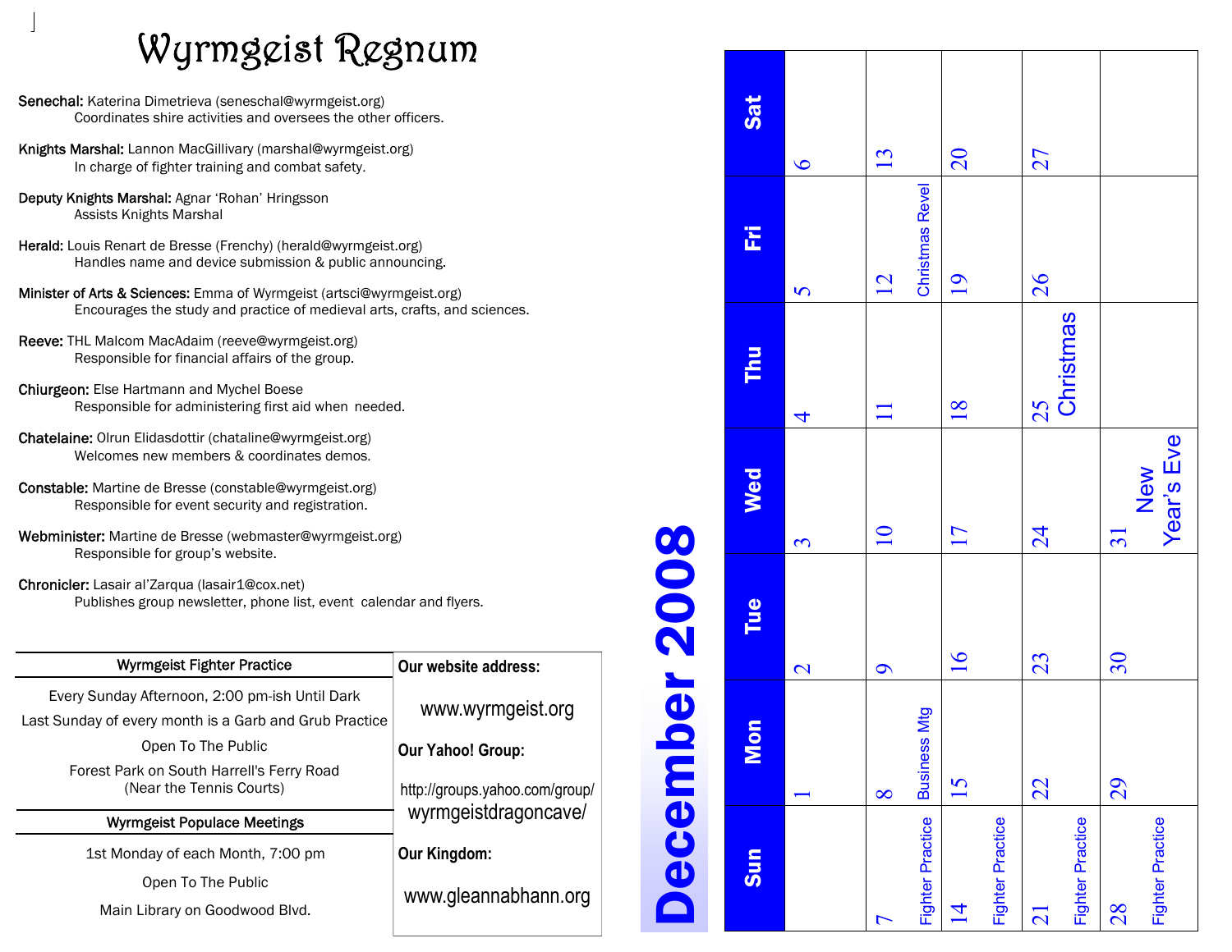# Wyrmgeist Regnum

- Senechal: Katerina Dimetrieva (seneschal@wyrmgeist.org) Coordinates shire activities and oversees the other officers.
- Knights Marshal: Lannon MacGillivary (marshal@wyrmgeist.org) In charge of fighter training and combat safety.
- Deputy Knights Marshal: Agnar 'Rohan' Hringsson Assists Knights Marshal
- Herald: Louis Renart de Bresse (Frenchy) (herald@wyrmgeist.org) Handles name and device submission & public announcing.
- Minister of Arts & Sciences: Emma of Wyrmgeist (artsci@wyrmgeist.org) Encourages the study and practice of medieval arts, crafts, and sciences.
- Reeve: THL Malcom MacAdaim (reeve@wyrmgeist.org) Responsible for financial affairs of the group.
- Chiurgeon: Else Hartmann and Mychel Boese Responsible for administering first aid when needed.
- Chatelaine: Olrun Elidasdottir (chataline@wyrmgeist.org) Welcomes new members & coordinates demos.
- Constable: Martine de Bresse (constable@wyrmgeist.org) Responsible for event security and registration.
- Webminister: Martine de Bresse (webmaster@wyrmgeist.org) Responsible for group's website.
- Chronicler: Lasair al'Zarqua (lasair1@cox.net) Publishes group newsletter, phone list, event calendar and flyers.

| <b>Wyrmgeist Fighter Practice</b>                                                                        | Our website address:           |
|----------------------------------------------------------------------------------------------------------|--------------------------------|
| Every Sunday Afternoon, 2:00 pm-ish Until Dark<br>Last Sunday of every month is a Garb and Grub Practice | www.wyrmgeist.org              |
| Open To The Public                                                                                       | <b>Our Yahoo! Group:</b>       |
| Forest Park on South Harrell's Ferry Road<br>(Near the Tennis Courts)                                    | http://groups.yahoo.com/group/ |
| <b>Wyrmgeist Populace Meetings</b>                                                                       | wyrmgeistdragoncave/           |
| 1st Monday of each Month, 7:00 pm                                                                        | Our Kingdom:                   |
| Open To The Public                                                                                       |                                |
| Main Library on Goodwood Blvd.                                                                           | www.gleannabhann.org           |
|                                                                                                          |                                |

# Sat Sun Mon Tue Wed Thu Fri Sat 15 16 17 18 19 20 26 27  $\overline{20}$ 13 27 1 2 3 4 5 6  $\bullet$ Christmas Revel Christmas Revel 돈 9 10 11 12  $12$  $19$ 26  $\overline{v}$ Christmas Christmas E 22 23 24 25  $\overline{18}$ 25  $\Box$  $\overline{\mathcal{A}}$ Year's Eve Year's Eve New Wed 29 30 31  $\overline{10}$  $\overline{17}$  $24$  $\overline{31}$  $\mathfrak{S}$ Tue  $16$ 23 30 ecember  $\mathbf{\Omega}$  $\sigma$ Business Mtg **Business Mtg** Mon  $\overline{15}$  $22$ 29  $8<sup>o</sup>$  $\overline{\phantom{0}}$ Fighter Practice Fighter Practice Fighter Practice Fighter Practice Fighter Practice Fighter Practice Fighter Practice Fighter Practice Sun  $\overline{1}$ 28 21  $\overline{ }$

December 2008

2008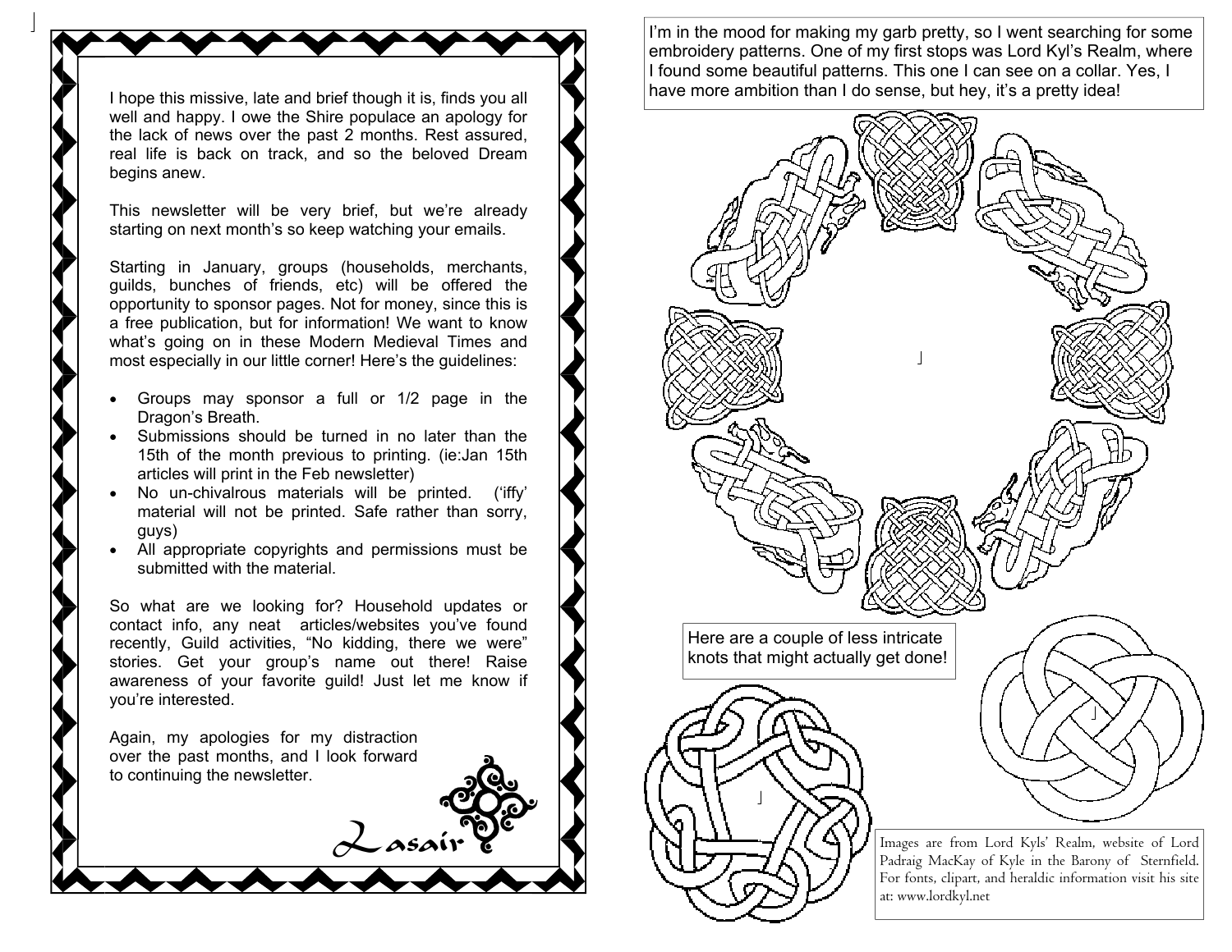I hope this missive, late and brief though it is, finds you all well and happy. I owe the Shire populace an apology for the lack of news over the past 2 months. Rest assured, real life is back on track, and so the beloved Dream begins anew.

This newsletter will be very brief, but we're already starting on next month's so keep watching your emails.

Starting in January, groups (households, merchants, guilds, bunches of friends, etc) will be offered the opportunity to sponsor pages. Not for money, since this is a free publication, but for information! We want to know what's going on in these Modern Medieval Times and most especially in our little corner! Here's the guidelines:

- Groups may sponsor a full or 1/2 page in the Dragon's Breath.
- Submissions should be turned in no later than the 15th of the month previous to printing. (ie:Jan 15th articles will print in the Feb newsletter)
- No un-chivalrous materials will be printed. ('iffy' material will not be printed. Safe rather than sorry, guys)
- All appropriate copyrights and permissions must be submitted with the material.

So what are we looking for? Household updates or contact info, any neat articles/websites you've found recently, Guild activities, "No kidding, there we were" stories. Get your group's name out there! Raise awareness of your favorite guild! Just let me know if you're interested.

Lasair

Again, my apologies for my distraction over the past months, and I look forward to continuing the newsletter.

I'm in the mood for making my garb pretty, so I went searching for some embroidery patterns. One of my first stops was Lord Kyl's Realm, where I found some beautiful patterns. This one I can see on a collar. Yes, I have more ambition than I do sense, but hey, it's a pretty idea!